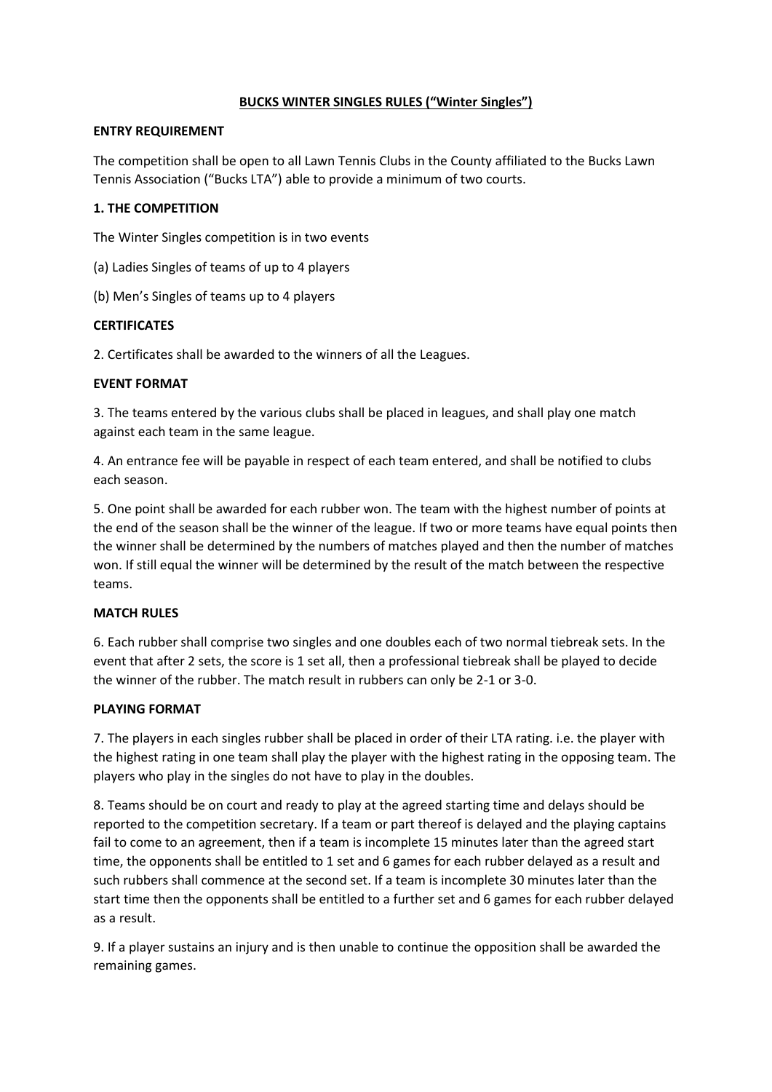## **BUCKS WINTER SINGLES RULES ("Winter Singles")**

#### **ENTRY REQUIREMENT**

The competition shall be open to all Lawn Tennis Clubs in the County affiliated to the Bucks Lawn Tennis Association ("Bucks LTA") able to provide a minimum of two courts.

# **1. THE COMPETITION**

The Winter Singles competition is in two events

(a) Ladies Singles of teams of up to 4 players

(b) Men's Singles of teams up to 4 players

## **CERTIFICATES**

2. Certificates shall be awarded to the winners of all the Leagues.

## **EVENT FORMAT**

3. The teams entered by the various clubs shall be placed in leagues, and shall play one match against each team in the same league.

4. An entrance fee will be payable in respect of each team entered, and shall be notified to clubs each season.

5. One point shall be awarded for each rubber won. The team with the highest number of points at the end of the season shall be the winner of the league. If two or more teams have equal points then the winner shall be determined by the numbers of matches played and then the number of matches won. If still equal the winner will be determined by the result of the match between the respective teams.

#### **MATCH RULES**

6. Each rubber shall comprise two singles and one doubles each of two normal tiebreak sets. In the event that after 2 sets, the score is 1 set all, then a professional tiebreak shall be played to decide the winner of the rubber. The match result in rubbers can only be 2-1 or 3-0.

# **PLAYING FORMAT**

7. The players in each singles rubber shall be placed in order of their LTA rating. i.e. the player with the highest rating in one team shall play the player with the highest rating in the opposing team. The players who play in the singles do not have to play in the doubles.

8. Teams should be on court and ready to play at the agreed starting time and delays should be reported to the competition secretary. If a team or part thereof is delayed and the playing captains fail to come to an agreement, then if a team is incomplete 15 minutes later than the agreed start time, the opponents shall be entitled to 1 set and 6 games for each rubber delayed as a result and such rubbers shall commence at the second set. If a team is incomplete 30 minutes later than the start time then the opponents shall be entitled to a further set and 6 games for each rubber delayed as a result.

9. If a player sustains an injury and is then unable to continue the opposition shall be awarded the remaining games.